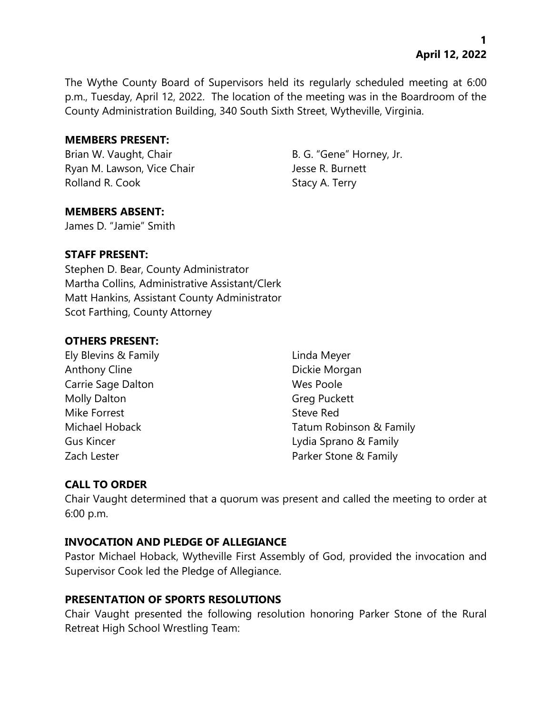The Wythe County Board of Supervisors held its regularly scheduled meeting at 6:00 p.m., Tuesday, April 12, 2022. The location of the meeting was in the Boardroom of the County Administration Building, 340 South Sixth Street, Wytheville, Virginia.

### **MEMBERS PRESENT:**

Brian W. Vaught, Chair B. G. "Gene" Horney, Jr. Ryan M. Lawson, Vice Chair **Jesse R. Burnett** Rolland R. Cook Stacy A. Terry

# **MEMBERS ABSENT:**

James D. "Jamie" Smith

# **STAFF PRESENT:**

Stephen D. Bear, County Administrator Martha Collins, Administrative Assistant/Clerk Matt Hankins, Assistant County Administrator Scot Farthing, County Attorney

# **OTHERS PRESENT:**

Ely Blevins & Family Linda Meyer Anthony Cline **Dickie Morgan** Carrie Sage Dalton Nes Poole Molly Dalton Greg Puckett Mike Forrest **Steve Red** 

Michael Hoback Tatum Robinson & Family Gus Kincer **Lydia Sprano & Family** Zach Lester **Parker Stone & Family** 

# **CALL TO ORDER**

Chair Vaught determined that a quorum was present and called the meeting to order at 6:00 p.m.

# **INVOCATION AND PLEDGE OF ALLEGIANCE**

Pastor Michael Hoback, Wytheville First Assembly of God, provided the invocation and Supervisor Cook led the Pledge of Allegiance.

# **PRESENTATION OF SPORTS RESOLUTIONS**

Chair Vaught presented the following resolution honoring Parker Stone of the Rural Retreat High School Wrestling Team: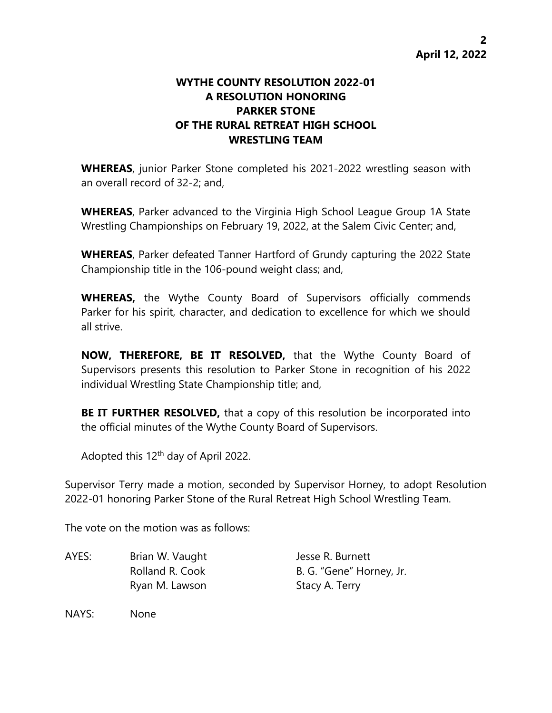# **WYTHE COUNTY RESOLUTION 2022-01 A RESOLUTION HONORING PARKER STONE OF THE RURAL RETREAT HIGH SCHOOL WRESTLING TEAM**

**WHEREAS**, junior Parker Stone completed his 2021-2022 wrestling season with an overall record of 32-2; and,

**WHEREAS**, Parker advanced to the Virginia High School League Group 1A State Wrestling Championships on February 19, 2022, at the Salem Civic Center; and,

**WHEREAS**, Parker defeated Tanner Hartford of Grundy capturing the 2022 State Championship title in the 106-pound weight class; and,

**WHEREAS,** the Wythe County Board of Supervisors officially commends Parker for his spirit, character, and dedication to excellence for which we should all strive.

**NOW, THEREFORE, BE IT RESOLVED,** that the Wythe County Board of Supervisors presents this resolution to Parker Stone in recognition of his 2022 individual Wrestling State Championship title; and,

**BE IT FURTHER RESOLVED,** that a copy of this resolution be incorporated into the official minutes of the Wythe County Board of Supervisors.

Adopted this  $12<sup>th</sup>$  day of April 2022.

Supervisor Terry made a motion, seconded by Supervisor Horney, to adopt Resolution 2022-01 honoring Parker Stone of the Rural Retreat High School Wrestling Team.

The vote on the motion was as follows:

AYES: Brian W. Vaught Jesse R. Burnett Ryan M. Lawson Stacy A. Terry

Rolland R. Cook B. G. "Gene" Horney, Jr.

NAYS: None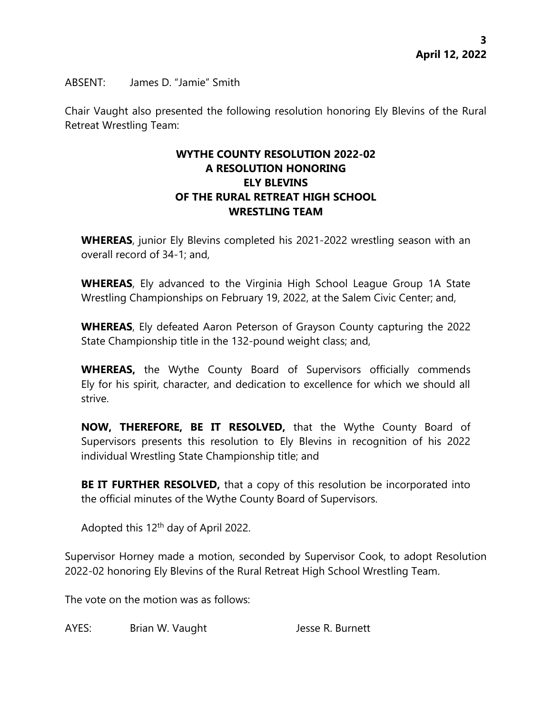ABSENT: James D. "Jamie" Smith

Chair Vaught also presented the following resolution honoring Ely Blevins of the Rural Retreat Wrestling Team:

# **WYTHE COUNTY RESOLUTION 2022-02 A RESOLUTION HONORING ELY BLEVINS OF THE RURAL RETREAT HIGH SCHOOL WRESTLING TEAM**

**WHEREAS**, junior Ely Blevins completed his 2021-2022 wrestling season with an overall record of 34-1; and,

**WHEREAS**, Ely advanced to the Virginia High School League Group 1A State Wrestling Championships on February 19, 2022, at the Salem Civic Center; and,

**WHEREAS**, Ely defeated Aaron Peterson of Grayson County capturing the 2022 State Championship title in the 132-pound weight class; and,

**WHEREAS,** the Wythe County Board of Supervisors officially commends Ely for his spirit, character, and dedication to excellence for which we should all strive.

**NOW, THEREFORE, BE IT RESOLVED,** that the Wythe County Board of Supervisors presents this resolution to Ely Blevins in recognition of his 2022 individual Wrestling State Championship title; and

**BE IT FURTHER RESOLVED,** that a copy of this resolution be incorporated into the official minutes of the Wythe County Board of Supervisors.

Adopted this  $12<sup>th</sup>$  day of April 2022.

Supervisor Horney made a motion, seconded by Supervisor Cook, to adopt Resolution 2022-02 honoring Ely Blevins of the Rural Retreat High School Wrestling Team.

The vote on the motion was as follows:

AYES: Brian W. Vaught Jesse R. Burnett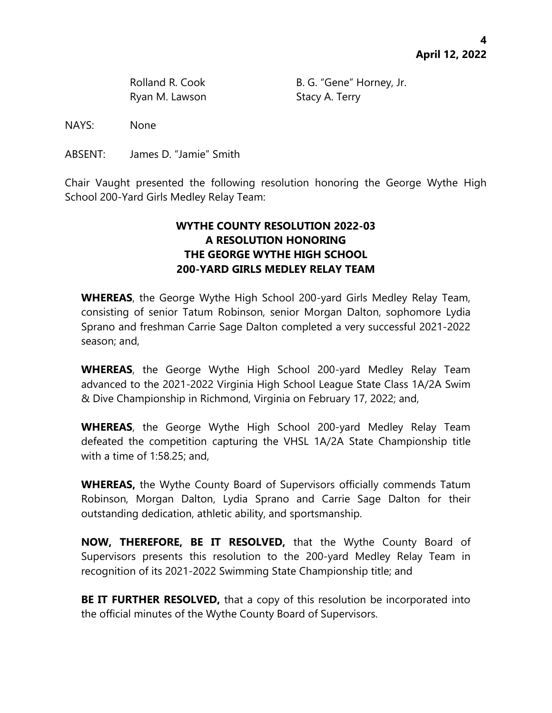Ryan M. Lawson Stacy A. Terry

Rolland R. Cook B. G. "Gene" Horney, Jr.

NAYS: None

ABSENT: James D. "Jamie" Smith

Chair Vaught presented the following resolution honoring the George Wythe High School 200-Yard Girls Medley Relay Team:

# **WYTHE COUNTY RESOLUTION 2022-03 A RESOLUTION HONORING THE GEORGE WYTHE HIGH SCHOOL 200-YARD GIRLS MEDLEY RELAY TEAM**

**WHEREAS**, the George Wythe High School 200-yard Girls Medley Relay Team, consisting of senior Tatum Robinson, senior Morgan Dalton, sophomore Lydia Sprano and freshman Carrie Sage Dalton completed a very successful 2021-2022 season; and,

**WHEREAS**, the George Wythe High School 200-yard Medley Relay Team advanced to the 2021-2022 Virginia High School League State Class 1A/2A Swim & Dive Championship in Richmond, Virginia on February 17, 2022; and,

**WHEREAS**, the George Wythe High School 200-yard Medley Relay Team defeated the competition capturing the VHSL 1A/2A State Championship title with a time of 1:58.25; and,

**WHEREAS,** the Wythe County Board of Supervisors officially commends Tatum Robinson, Morgan Dalton, Lydia Sprano and Carrie Sage Dalton for their outstanding dedication, athletic ability, and sportsmanship.

**NOW, THEREFORE, BE IT RESOLVED,** that the Wythe County Board of Supervisors presents this resolution to the 200-yard Medley Relay Team in recognition of its 2021-2022 Swimming State Championship title; and

**BE IT FURTHER RESOLVED,** that a copy of this resolution be incorporated into the official minutes of the Wythe County Board of Supervisors.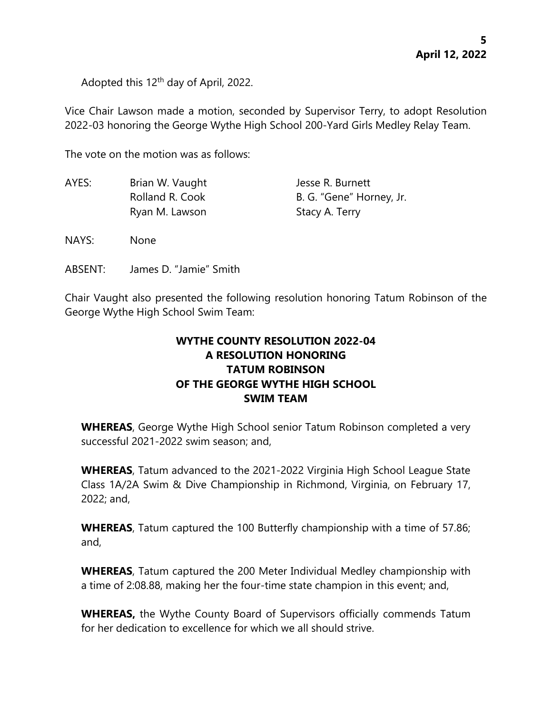Adopted this 12<sup>th</sup> day of April, 2022.

Vice Chair Lawson made a motion, seconded by Supervisor Terry, to adopt Resolution 2022-03 honoring the George Wythe High School 200-Yard Girls Medley Relay Team.

The vote on the motion was as follows:

| AYES: | Brian W. Vaught | Jesse R. Burnett         |
|-------|-----------------|--------------------------|
|       | Rolland R. Cook | B. G. "Gene" Horney, Jr. |
|       | Ryan M. Lawson  | Stacy A. Terry           |

NAYS: None

ABSENT: James D. "Jamie" Smith

Chair Vaught also presented the following resolution honoring Tatum Robinson of the George Wythe High School Swim Team:

# **WYTHE COUNTY RESOLUTION 2022-04 A RESOLUTION HONORING TATUM ROBINSON OF THE GEORGE WYTHE HIGH SCHOOL SWIM TEAM**

**WHEREAS**, George Wythe High School senior Tatum Robinson completed a very successful 2021-2022 swim season; and,

**WHEREAS**, Tatum advanced to the 2021-2022 Virginia High School League State Class 1A/2A Swim & Dive Championship in Richmond, Virginia, on February 17, 2022; and,

**WHEREAS**, Tatum captured the 100 Butterfly championship with a time of 57.86; and,

**WHEREAS**, Tatum captured the 200 Meter Individual Medley championship with a time of 2:08.88, making her the four-time state champion in this event; and,

**WHEREAS,** the Wythe County Board of Supervisors officially commends Tatum for her dedication to excellence for which we all should strive.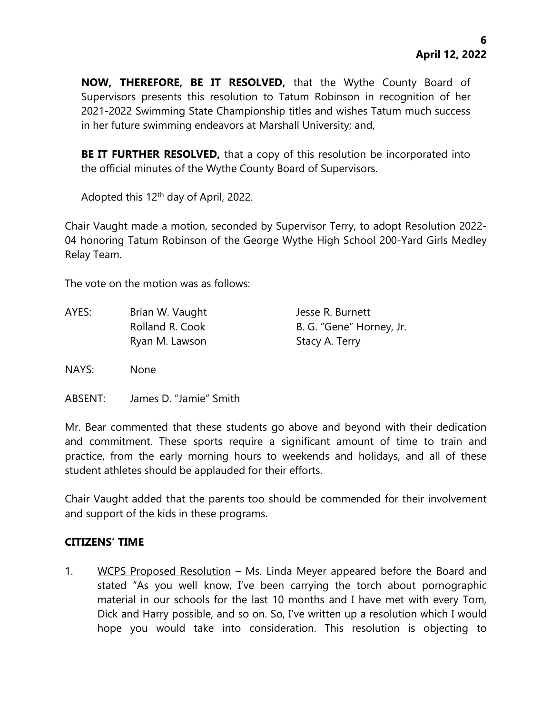**NOW, THEREFORE, BE IT RESOLVED,** that the Wythe County Board of Supervisors presents this resolution to Tatum Robinson in recognition of her 2021-2022 Swimming State Championship titles and wishes Tatum much success in her future swimming endeavors at Marshall University; and,

**BE IT FURTHER RESOLVED,** that a copy of this resolution be incorporated into the official minutes of the Wythe County Board of Supervisors.

Adopted this 12<sup>th</sup> day of April, 2022.

Chair Vaught made a motion, seconded by Supervisor Terry, to adopt Resolution 2022- 04 honoring Tatum Robinson of the George Wythe High School 200-Yard Girls Medley Relay Team.

The vote on the motion was as follows:

AYES: Brian W. Vaught Jesse R. Burnett Rolland R. Cook B. G. "Gene" Horney, Jr. Ryan M. Lawson Stacy A. Terry

NAYS: None

ABSENT: James D. "Jamie" Smith

Mr. Bear commented that these students go above and beyond with their dedication and commitment. These sports require a significant amount of time to train and practice, from the early morning hours to weekends and holidays, and all of these student athletes should be applauded for their efforts.

Chair Vaught added that the parents too should be commended for their involvement and support of the kids in these programs.

### **CITIZENS' TIME**

1. WCPS Proposed Resolution – Ms. Linda Meyer appeared before the Board and stated "As you well know, I've been carrying the torch about pornographic material in our schools for the last 10 months and I have met with every Tom, Dick and Harry possible, and so on. So, I've written up a resolution which I would hope you would take into consideration. This resolution is objecting to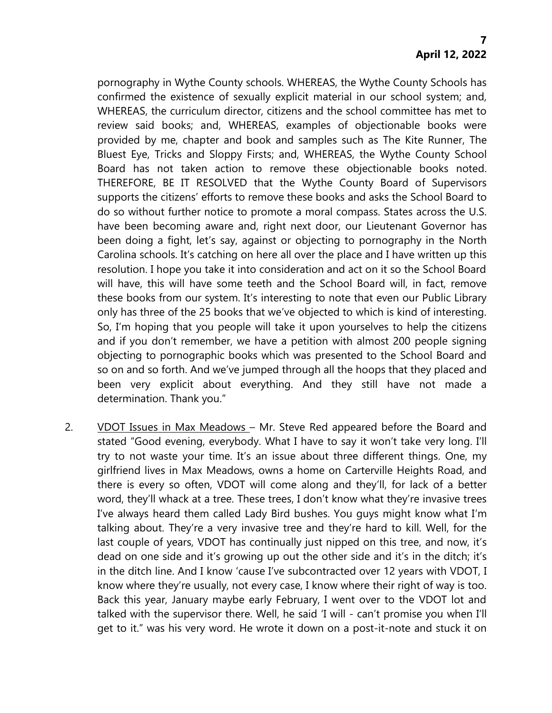pornography in Wythe County schools. WHEREAS, the Wythe County Schools has confirmed the existence of sexually explicit material in our school system; and, WHEREAS, the curriculum director, citizens and the school committee has met to review said books; and, WHEREAS, examples of objectionable books were provided by me, chapter and book and samples such as The Kite Runner, The Bluest Eye, Tricks and Sloppy Firsts; and, WHEREAS, the Wythe County School Board has not taken action to remove these objectionable books noted. THEREFORE, BE IT RESOLVED that the Wythe County Board of Supervisors supports the citizens' efforts to remove these books and asks the School Board to do so without further notice to promote a moral compass. States across the U.S. have been becoming aware and, right next door, our Lieutenant Governor has been doing a fight, let's say, against or objecting to pornography in the North Carolina schools. It's catching on here all over the place and I have written up this resolution. I hope you take it into consideration and act on it so the School Board will have, this will have some teeth and the School Board will, in fact, remove these books from our system. It's interesting to note that even our Public Library only has three of the 25 books that we've objected to which is kind of interesting. So, I'm hoping that you people will take it upon yourselves to help the citizens and if you don't remember, we have a petition with almost 200 people signing objecting to pornographic books which was presented to the School Board and so on and so forth. And we've jumped through all the hoops that they placed and been very explicit about everything. And they still have not made a determination. Thank you."

2. VDOT Issues in Max Meadows – Mr. Steve Red appeared before the Board and stated "Good evening, everybody. What I have to say it won't take very long. I'll try to not waste your time. It's an issue about three different things. One, my girlfriend lives in Max Meadows, owns a home on Carterville Heights Road, and there is every so often, VDOT will come along and they'll, for lack of a better word, they'll whack at a tree. These trees, I don't know what they're invasive trees I've always heard them called Lady Bird bushes. You guys might know what I'm talking about. They're a very invasive tree and they're hard to kill. Well, for the last couple of years, VDOT has continually just nipped on this tree, and now, it's dead on one side and it's growing up out the other side and it's in the ditch; it's in the ditch line. And I know 'cause I've subcontracted over 12 years with VDOT, I know where they're usually, not every case, I know where their right of way is too. Back this year, January maybe early February, I went over to the VDOT lot and talked with the supervisor there. Well, he said 'I will - can't promise you when I'll get to it." was his very word. He wrote it down on a post-it-note and stuck it on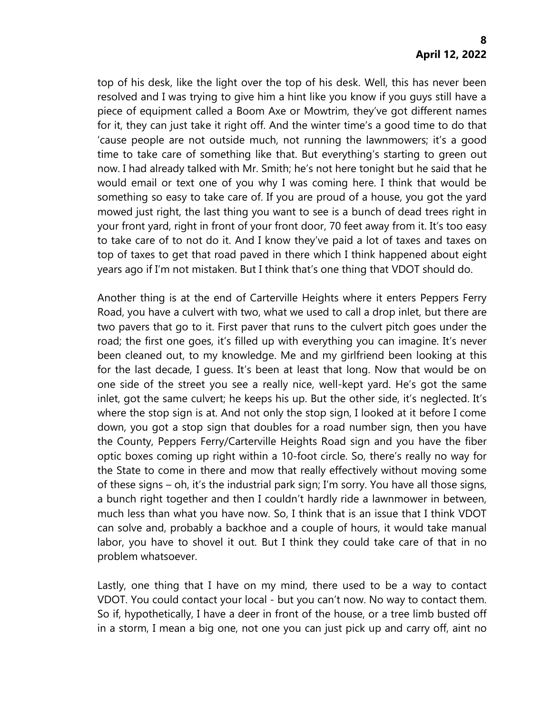top of his desk, like the light over the top of his desk. Well, this has never been resolved and I was trying to give him a hint like you know if you guys still have a piece of equipment called a Boom Axe or Mowtrim, they've got different names for it, they can just take it right off. And the winter time's a good time to do that 'cause people are not outside much, not running the lawnmowers; it's a good time to take care of something like that. But everything's starting to green out now. I had already talked with Mr. Smith; he's not here tonight but he said that he would email or text one of you why I was coming here. I think that would be something so easy to take care of. If you are proud of a house, you got the yard mowed just right, the last thing you want to see is a bunch of dead trees right in your front yard, right in front of your front door, 70 feet away from it. It's too easy to take care of to not do it. And I know they've paid a lot of taxes and taxes on top of taxes to get that road paved in there which I think happened about eight years ago if I'm not mistaken. But I think that's one thing that VDOT should do.

Another thing is at the end of Carterville Heights where it enters Peppers Ferry Road, you have a culvert with two, what we used to call a drop inlet, but there are two pavers that go to it. First paver that runs to the culvert pitch goes under the road; the first one goes, it's filled up with everything you can imagine. It's never been cleaned out, to my knowledge. Me and my girlfriend been looking at this for the last decade, I guess. It's been at least that long. Now that would be on one side of the street you see a really nice, well-kept yard. He's got the same inlet, got the same culvert; he keeps his up. But the other side, it's neglected. It's where the stop sign is at. And not only the stop sign, I looked at it before I come down, you got a stop sign that doubles for a road number sign, then you have the County, Peppers Ferry/Carterville Heights Road sign and you have the fiber optic boxes coming up right within a 10-foot circle. So, there's really no way for the State to come in there and mow that really effectively without moving some of these signs – oh, it's the industrial park sign; I'm sorry. You have all those signs, a bunch right together and then I couldn't hardly ride a lawnmower in between, much less than what you have now. So, I think that is an issue that I think VDOT can solve and, probably a backhoe and a couple of hours, it would take manual labor, you have to shovel it out. But I think they could take care of that in no problem whatsoever.

Lastly, one thing that I have on my mind, there used to be a way to contact VDOT. You could contact your local - but you can't now. No way to contact them. So if, hypothetically, I have a deer in front of the house, or a tree limb busted off in a storm, I mean a big one, not one you can just pick up and carry off, aint no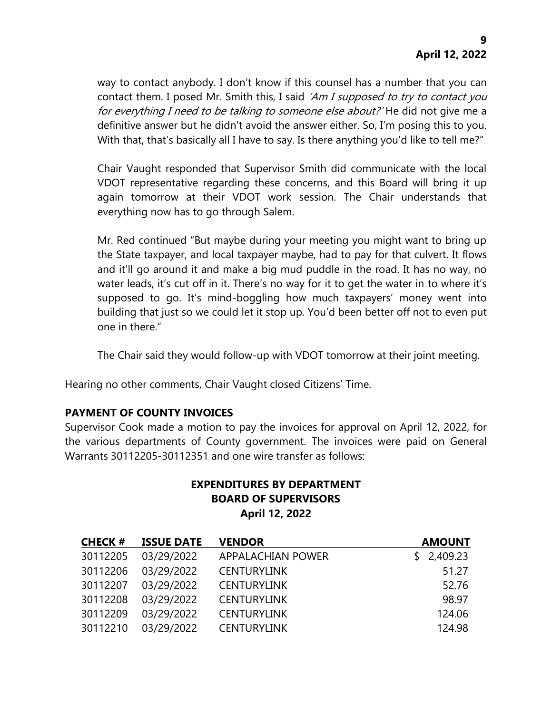way to contact anybody. I don't know if this counsel has a number that you can contact them. I posed Mr. Smith this, I said 'Am I supposed to try to contact you for everything I need to be talking to someone else about? He did not give me a definitive answer but he didn't avoid the answer either. So, I'm posing this to you. With that, that's basically all I have to say. Is there anything you'd like to tell me?"

Chair Vaught responded that Supervisor Smith did communicate with the local VDOT representative regarding these concerns, and this Board will bring it up again tomorrow at their VDOT work session. The Chair understands that everything now has to go through Salem.

Mr. Red continued "But maybe during your meeting you might want to bring up the State taxpayer, and local taxpayer maybe, had to pay for that culvert. It flows and it'll go around it and make a big mud puddle in the road. It has no way, no water leads, it's cut off in it. There's no way for it to get the water in to where it's supposed to go. It's mind-boggling how much taxpayers' money went into building that just so we could let it stop up. You'd been better off not to even put one in there."

The Chair said they would follow-up with VDOT tomorrow at their joint meeting.

Hearing no other comments, Chair Vaught closed Citizens' Time.

# **PAYMENT OF COUNTY INVOICES**

Supervisor Cook made a motion to pay the invoices for approval on April 12, 2022, for the various departments of County government. The invoices were paid on General Warrants 30112205-30112351 and one wire transfer as follows:

# **EXPENDITURES BY DEPARTMENT BOARD OF SUPERVISORS April 12, 2022**

| <b>CHECK#</b> | <b>ISSUE DATE</b> | <b>VENDOR</b>      | <b>AMOUNT</b> |
|---------------|-------------------|--------------------|---------------|
| 30112205      | 03/29/2022        | APPALACHIAN POWER  | \$2,409.23    |
| 30112206      | 03/29/2022        | <b>CENTURYLINK</b> | 51.27         |
| 30112207      | 03/29/2022        | <b>CENTURYLINK</b> | 52.76         |
| 30112208      | 03/29/2022        | <b>CENTURYLINK</b> | 98.97         |
| 30112209      | 03/29/2022        | <b>CENTURYLINK</b> | 124.06        |
| 30112210      | 03/29/2022        | <b>CENTURYLINK</b> | 124.98        |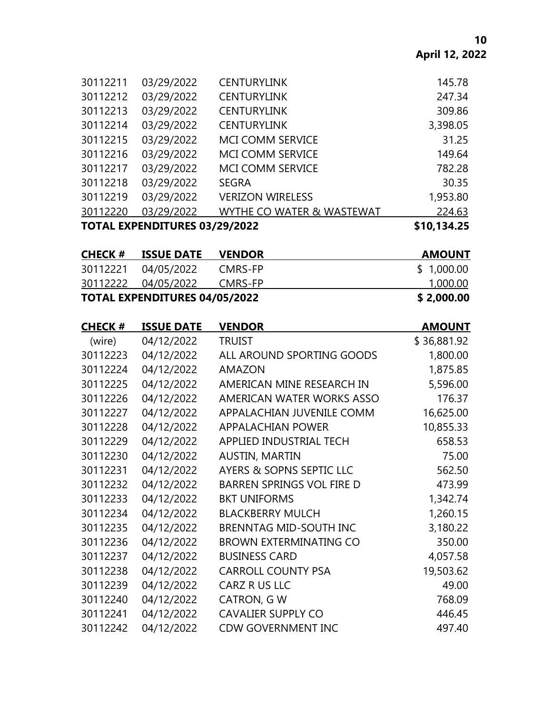| <b>TOTAL EXPENDITURES 03/29/2022</b> |            |                           | \$10,134.25 |
|--------------------------------------|------------|---------------------------|-------------|
| 30112220                             | 03/29/2022 | WYTHE CO WATER & WASTEWAT | 224.63      |
| 30112219                             | 03/29/2022 | <b>VERIZON WIRELESS</b>   | 1,953.80    |
| 30112218                             | 03/29/2022 | <b>SEGRA</b>              | 30.35       |
| 30112217                             | 03/29/2022 | <b>MCI COMM SERVICE</b>   | 782.28      |
| 30112216                             | 03/29/2022 | <b>MCI COMM SERVICE</b>   | 149.64      |
| 30112215                             | 03/29/2022 | <b>MCI COMM SERVICE</b>   | 31.25       |
| 30112214                             | 03/29/2022 | <b>CENTURYLINK</b>        | 3,398.05    |
| 30112213                             | 03/29/2022 | <b>CENTURYLINK</b>        | 309.86      |
| 30112212                             | 03/29/2022 | <b>CENTURYLINK</b>        | 247.34      |
| 30112211                             | 03/29/2022 | <b>CENTURYLINK</b>        | 145.78      |

| <b>CHECK #</b> | <b>ISSUE DATE</b>             | <b>VENDOR</b> | <b>AMOUNT</b> |
|----------------|-------------------------------|---------------|---------------|
| 30112221       | 04/05/2022                    | CMRS-FP       | \$1,000.00    |
|                | 30112222 04/05/2022           | CMRS-FP       | 1,000.00      |
|                | TOTAL EXPENDITURES 04/05/2022 |               | \$2,000.00    |

| <b>CHECK#</b> | <b>ISSUE DATE</b> | <b>VENDOR</b>                    | <b>AMOUNT</b> |
|---------------|-------------------|----------------------------------|---------------|
| (wire)        | 04/12/2022        | <b>TRUIST</b>                    | \$36,881.92   |
| 30112223      | 04/12/2022        | ALL AROUND SPORTING GOODS        | 1,800.00      |
| 30112224      | 04/12/2022        | <b>AMAZON</b>                    | 1,875.85      |
| 30112225      | 04/12/2022        | AMERICAN MINE RESEARCH IN        | 5,596.00      |
| 30112226      | 04/12/2022        | AMERICAN WATER WORKS ASSO        | 176.37        |
| 30112227      | 04/12/2022        | APPALACHIAN JUVENILE COMM        | 16,625.00     |
| 30112228      | 04/12/2022        | <b>APPALACHIAN POWER</b>         | 10,855.33     |
| 30112229      | 04/12/2022        | APPLIED INDUSTRIAL TECH          | 658.53        |
| 30112230      | 04/12/2022        | <b>AUSTIN, MARTIN</b>            | 75.00         |
| 30112231      | 04/12/2022        | AYERS & SOPNS SEPTIC LLC         | 562.50        |
| 30112232      | 04/12/2022        | <b>BARREN SPRINGS VOL FIRE D</b> | 473.99        |
| 30112233      | 04/12/2022        | <b>BKT UNIFORMS</b>              | 1,342.74      |
| 30112234      | 04/12/2022        | <b>BLACKBERRY MULCH</b>          | 1,260.15      |
| 30112235      | 04/12/2022        | <b>BRENNTAG MID-SOUTH INC</b>    | 3,180.22      |
| 30112236      | 04/12/2022        | <b>BROWN EXTERMINATING CO</b>    | 350.00        |
| 30112237      | 04/12/2022        | <b>BUSINESS CARD</b>             | 4,057.58      |
| 30112238      | 04/12/2022        | <b>CARROLL COUNTY PSA</b>        | 19,503.62     |
| 30112239      | 04/12/2022        | CARZ R US LLC                    | 49.00         |
| 30112240      | 04/12/2022        | CATRON, G W                      | 768.09        |
| 30112241      | 04/12/2022        | <b>CAVALIER SUPPLY CO</b>        | 446.45        |
| 30112242      | 04/12/2022        | <b>CDW GOVERNMENT INC</b>        | 497.40        |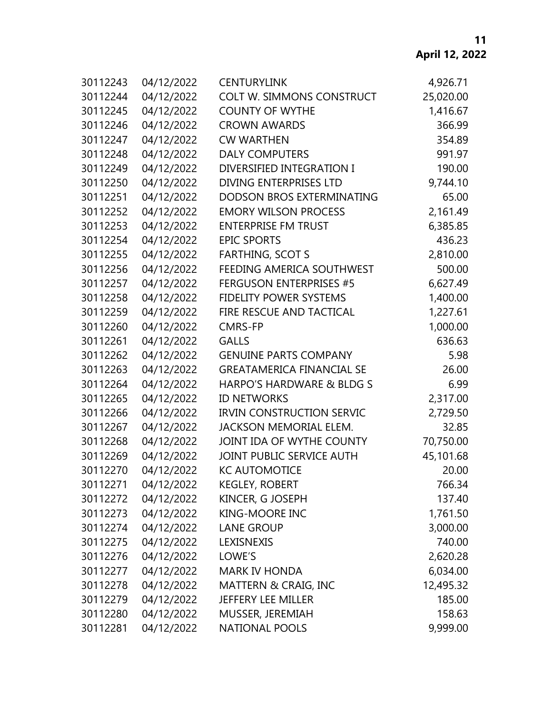# **April 12, 2022**

| 30112243 | 04/12/2022 | <b>CENTURYLINK</b>               | 4,926.71  |
|----------|------------|----------------------------------|-----------|
| 30112244 | 04/12/2022 | COLT W. SIMMONS CONSTRUCT        | 25,020.00 |
| 30112245 | 04/12/2022 | <b>COUNTY OF WYTHE</b>           | 1,416.67  |
| 30112246 | 04/12/2022 | <b>CROWN AWARDS</b>              | 366.99    |
| 30112247 | 04/12/2022 | <b>CW WARTHEN</b>                | 354.89    |
| 30112248 | 04/12/2022 | <b>DALY COMPUTERS</b>            | 991.97    |
| 30112249 | 04/12/2022 | DIVERSIFIED INTEGRATION I        | 190.00    |
| 30112250 | 04/12/2022 | <b>DIVING ENTERPRISES LTD</b>    | 9,744.10  |
| 30112251 | 04/12/2022 | DODSON BROS EXTERMINATING        | 65.00     |
| 30112252 | 04/12/2022 | <b>EMORY WILSON PROCESS</b>      | 2,161.49  |
| 30112253 | 04/12/2022 | <b>ENTERPRISE FM TRUST</b>       | 6,385.85  |
| 30112254 | 04/12/2022 | <b>EPIC SPORTS</b>               | 436.23    |
| 30112255 | 04/12/2022 | <b>FARTHING, SCOT S</b>          | 2,810.00  |
| 30112256 | 04/12/2022 | FEEDING AMERICA SOUTHWEST        | 500.00    |
| 30112257 | 04/12/2022 | <b>FERGUSON ENTERPRISES #5</b>   | 6,627.49  |
| 30112258 | 04/12/2022 | <b>FIDELITY POWER SYSTEMS</b>    | 1,400.00  |
| 30112259 | 04/12/2022 | <b>FIRE RESCUE AND TACTICAL</b>  | 1,227.61  |
| 30112260 | 04/12/2022 | <b>CMRS-FP</b>                   | 1,000.00  |
| 30112261 | 04/12/2022 | <b>GALLS</b>                     | 636.63    |
| 30112262 | 04/12/2022 | <b>GENUINE PARTS COMPANY</b>     | 5.98      |
| 30112263 | 04/12/2022 | <b>GREATAMERICA FINANCIAL SE</b> | 26.00     |
| 30112264 | 04/12/2022 | HARPO'S HARDWARE & BLDG S        | 6.99      |
| 30112265 | 04/12/2022 | <b>ID NETWORKS</b>               | 2,317.00  |
| 30112266 | 04/12/2022 | <b>IRVIN CONSTRUCTION SERVIC</b> | 2,729.50  |
| 30112267 | 04/12/2022 | <b>JACKSON MEMORIAL ELEM.</b>    | 32.85     |
| 30112268 | 04/12/2022 | JOINT IDA OF WYTHE COUNTY        | 70,750.00 |
| 30112269 | 04/12/2022 | JOINT PUBLIC SERVICE AUTH        | 45,101.68 |
| 30112270 | 04/12/2022 | <b>KC AUTOMOTICE</b>             | 20.00     |
| 30112271 | 04/12/2022 | <b>KEGLEY, ROBERT</b>            | 766.34    |
| 30112272 | 04/12/2022 | KINCER, G JOSEPH                 | 137.40    |
| 30112273 | 04/12/2022 | <b>KING-MOORE INC</b>            | 1,761.50  |
| 30112274 | 04/12/2022 | <b>LANE GROUP</b>                | 3,000.00  |
| 30112275 | 04/12/2022 | LEXISNEXIS                       | 740.00    |
| 30112276 | 04/12/2022 | LOWE'S                           | 2,620.28  |
| 30112277 | 04/12/2022 | <b>MARK IV HONDA</b>             | 6,034.00  |
| 30112278 | 04/12/2022 | MATTERN & CRAIG, INC             | 12,495.32 |
| 30112279 | 04/12/2022 | JEFFERY LEE MILLER               | 185.00    |
| 30112280 | 04/12/2022 | MUSSER, JEREMIAH                 | 158.63    |
| 30112281 | 04/12/2022 | <b>NATIONAL POOLS</b>            | 9,999.00  |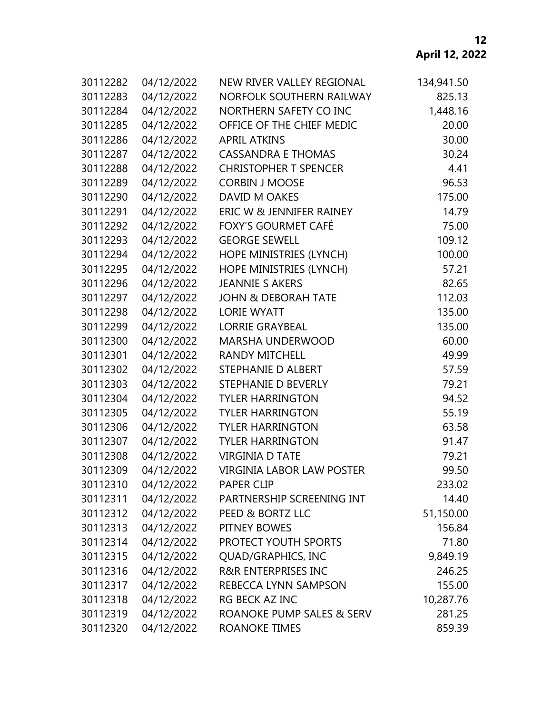# **April 12, 2022**

| 30112282 | 04/12/2022 | NEW RIVER VALLEY REGIONAL        | 134,941.50 |  |
|----------|------------|----------------------------------|------------|--|
| 30112283 | 04/12/2022 | NORFOLK SOUTHERN RAILWAY         | 825.13     |  |
| 30112284 | 04/12/2022 | NORTHERN SAFETY CO INC           | 1,448.16   |  |
| 30112285 | 04/12/2022 | OFFICE OF THE CHIEF MEDIC        | 20.00      |  |
| 30112286 | 04/12/2022 | <b>APRIL ATKINS</b>              | 30.00      |  |
| 30112287 | 04/12/2022 | <b>CASSANDRA E THOMAS</b>        | 30.24      |  |
| 30112288 | 04/12/2022 | <b>CHRISTOPHER T SPENCER</b>     | 4.41       |  |
| 30112289 | 04/12/2022 | <b>CORBIN J MOOSE</b>            | 96.53      |  |
| 30112290 | 04/12/2022 | DAVID M OAKES                    | 175.00     |  |
| 30112291 | 04/12/2022 | ERIC W & JENNIFER RAINEY         | 14.79      |  |
| 30112292 | 04/12/2022 | FOXY'S GOURMET CAFÉ              | 75.00      |  |
| 30112293 | 04/12/2022 | <b>GEORGE SEWELL</b>             | 109.12     |  |
| 30112294 | 04/12/2022 | HOPE MINISTRIES (LYNCH)          | 100.00     |  |
| 30112295 | 04/12/2022 | HOPE MINISTRIES (LYNCH)          | 57.21      |  |
| 30112296 | 04/12/2022 | <b>JEANNIE S AKERS</b>           | 82.65      |  |
| 30112297 | 04/12/2022 | <b>JOHN &amp; DEBORAH TATE</b>   | 112.03     |  |
| 30112298 | 04/12/2022 | <b>LORIE WYATT</b>               | 135.00     |  |
| 30112299 | 04/12/2022 | <b>LORRIE GRAYBEAL</b>           | 135.00     |  |
| 30112300 | 04/12/2022 | <b>MARSHA UNDERWOOD</b>          | 60.00      |  |
| 30112301 | 04/12/2022 | <b>RANDY MITCHELL</b>            | 49.99      |  |
| 30112302 | 04/12/2022 | STEPHANIE D ALBERT               | 57.59      |  |
| 30112303 | 04/12/2022 | STEPHANIE D BEVERLY              | 79.21      |  |
| 30112304 | 04/12/2022 | <b>TYLER HARRINGTON</b>          | 94.52      |  |
| 30112305 | 04/12/2022 | <b>TYLER HARRINGTON</b>          | 55.19      |  |
| 30112306 | 04/12/2022 | <b>TYLER HARRINGTON</b>          | 63.58      |  |
| 30112307 | 04/12/2022 | <b>TYLER HARRINGTON</b>          | 91.47      |  |
| 30112308 | 04/12/2022 | <b>VIRGINIA D TATE</b>           | 79.21      |  |
| 30112309 | 04/12/2022 | <b>VIRGINIA LABOR LAW POSTER</b> | 99.50      |  |
| 30112310 | 04/12/2022 | <b>PAPER CLIP</b>                | 233.02     |  |
| 30112311 | 04/12/2022 | PARTNERSHIP SCREENING INT        | 14.40      |  |
| 30112312 | 04/12/2022 | PEED & BORTZ LLC                 | 51,150.00  |  |
| 30112313 | 04/12/2022 | PITNEY BOWES                     | 156.84     |  |
| 30112314 | 04/12/2022 | PROTECT YOUTH SPORTS             | 71.80      |  |
| 30112315 | 04/12/2022 | <b>QUAD/GRAPHICS, INC</b>        | 9,849.19   |  |
| 30112316 | 04/12/2022 | R&R ENTERPRISES INC              | 246.25     |  |
| 30112317 | 04/12/2022 | REBECCA LYNN SAMPSON             | 155.00     |  |
| 30112318 | 04/12/2022 | RG BECK AZ INC                   | 10,287.76  |  |
| 30112319 | 04/12/2022 | ROANOKE PUMP SALES & SERV        | 281.25     |  |
| 30112320 | 04/12/2022 | ROANOKE TIMES                    | 859.39     |  |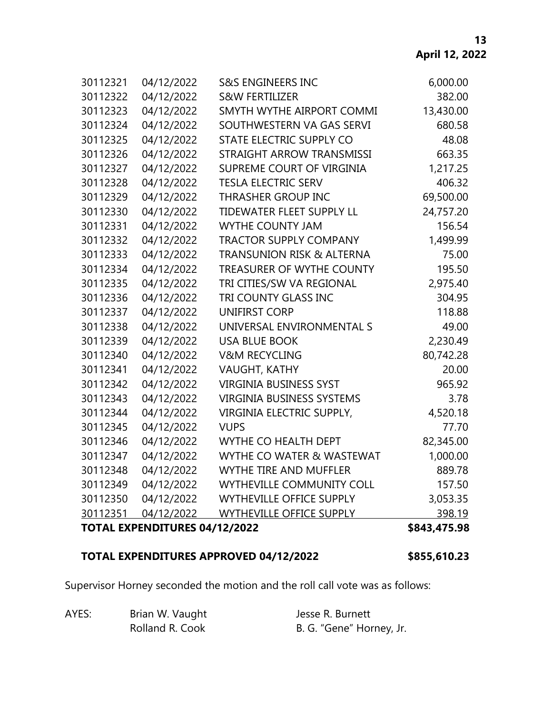| 30112321 | 04/12/2022                    | <b>S&amp;S ENGINEERS INC</b>         | 6,000.00     |
|----------|-------------------------------|--------------------------------------|--------------|
| 30112322 | 04/12/2022                    | <b>S&amp;W FERTILIZER</b>            | 382.00       |
| 30112323 | 04/12/2022                    | SMYTH WYTHE AIRPORT COMMI            | 13,430.00    |
| 30112324 | 04/12/2022                    | SOUTHWESTERN VA GAS SERVI            | 680.58       |
| 30112325 | 04/12/2022                    | STATE ELECTRIC SUPPLY CO             | 48.08        |
| 30112326 | 04/12/2022                    | STRAIGHT ARROW TRANSMISSI            | 663.35       |
| 30112327 | 04/12/2022                    | SUPREME COURT OF VIRGINIA            | 1,217.25     |
| 30112328 | 04/12/2022                    | <b>TESLA ELECTRIC SERV</b>           | 406.32       |
| 30112329 | 04/12/2022                    | THRASHER GROUP INC                   | 69,500.00    |
| 30112330 | 04/12/2022                    | TIDEWATER FLEET SUPPLY LL            | 24,757.20    |
| 30112331 | 04/12/2022                    | <b>WYTHE COUNTY JAM</b>              | 156.54       |
| 30112332 | 04/12/2022                    | <b>TRACTOR SUPPLY COMPANY</b>        | 1,499.99     |
| 30112333 | 04/12/2022                    | <b>TRANSUNION RISK &amp; ALTERNA</b> | 75.00        |
| 30112334 | 04/12/2022                    | TREASURER OF WYTHE COUNTY            | 195.50       |
| 30112335 | 04/12/2022                    | TRI CITIES/SW VA REGIONAL            | 2,975.40     |
| 30112336 | 04/12/2022                    | TRI COUNTY GLASS INC                 | 304.95       |
| 30112337 | 04/12/2022                    | <b>UNIFIRST CORP</b>                 | 118.88       |
| 30112338 | 04/12/2022                    | UNIVERSAL ENVIRONMENTAL S            | 49.00        |
| 30112339 | 04/12/2022                    | <b>USA BLUE BOOK</b>                 | 2,230.49     |
| 30112340 | 04/12/2022                    | <b>V&amp;M RECYCLING</b>             | 80,742.28    |
| 30112341 | 04/12/2022                    | VAUGHT, KATHY                        | 20.00        |
| 30112342 | 04/12/2022                    | <b>VIRGINIA BUSINESS SYST</b>        | 965.92       |
| 30112343 | 04/12/2022                    | <b>VIRGINIA BUSINESS SYSTEMS</b>     | 3.78         |
| 30112344 | 04/12/2022                    | VIRGINIA ELECTRIC SUPPLY,            | 4,520.18     |
| 30112345 | 04/12/2022                    | <b>VUPS</b>                          | 77.70        |
| 30112346 | 04/12/2022                    | WYTHE CO HEALTH DEPT                 | 82,345.00    |
| 30112347 | 04/12/2022                    | WYTHE CO WATER & WASTEWAT            | 1,000.00     |
| 30112348 | 04/12/2022                    | <b>WYTHE TIRE AND MUFFLER</b>        | 889.78       |
| 30112349 | 04/12/2022                    | WYTHEVILLE COMMUNITY COLL            | 157.50       |
| 30112350 | 04/12/2022                    | <b>WYTHEVILLE OFFICE SUPPLY</b>      | 3,053.35     |
| 30112351 | 04/12/2022                    | WYTHEVILLE OFFICE SUPPLY             | 398.19       |
|          | TOTAL EXPENDITURES 04/12/2022 |                                      | \$843,475.98 |

# **TOTAL EXPENDITURES APPROVED 04/12/2022 \$855,610.23**

Supervisor Horney seconded the motion and the roll call vote was as follows:

| AYES: | Brian W. Vaught | Jesse R. Burnett         |
|-------|-----------------|--------------------------|
|       | Rolland R. Cook | B. G. "Gene" Horney, Jr. |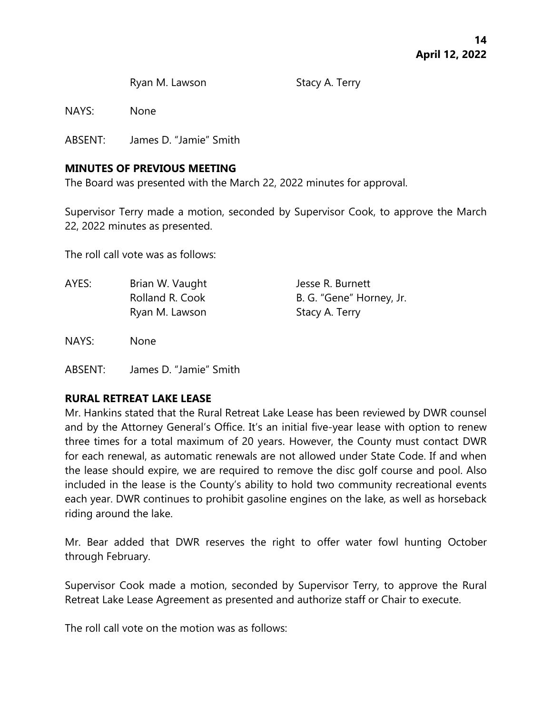Ryan M. Lawson Stacy A. Terry

NAYS: None

ABSENT: James D. "Jamie" Smith

# **MINUTES OF PREVIOUS MEETING**

The Board was presented with the March 22, 2022 minutes for approval.

Supervisor Terry made a motion, seconded by Supervisor Cook, to approve the March 22, 2022 minutes as presented.

The roll call vote was as follows:

AYES: Brian W. Vaught Jesse R. Burnett Rolland R. Cook B. G. "Gene" Horney, Jr. Ryan M. Lawson Stacy A. Terry

NAYS: None

ABSENT: James D. "Jamie" Smith

# **RURAL RETREAT LAKE LEASE**

Mr. Hankins stated that the Rural Retreat Lake Lease has been reviewed by DWR counsel and by the Attorney General's Office. It's an initial five-year lease with option to renew three times for a total maximum of 20 years. However, the County must contact DWR for each renewal, as automatic renewals are not allowed under State Code. If and when the lease should expire, we are required to remove the disc golf course and pool. Also included in the lease is the County's ability to hold two community recreational events each year. DWR continues to prohibit gasoline engines on the lake, as well as horseback riding around the lake.

Mr. Bear added that DWR reserves the right to offer water fowl hunting October through February.

Supervisor Cook made a motion, seconded by Supervisor Terry, to approve the Rural Retreat Lake Lease Agreement as presented and authorize staff or Chair to execute.

The roll call vote on the motion was as follows: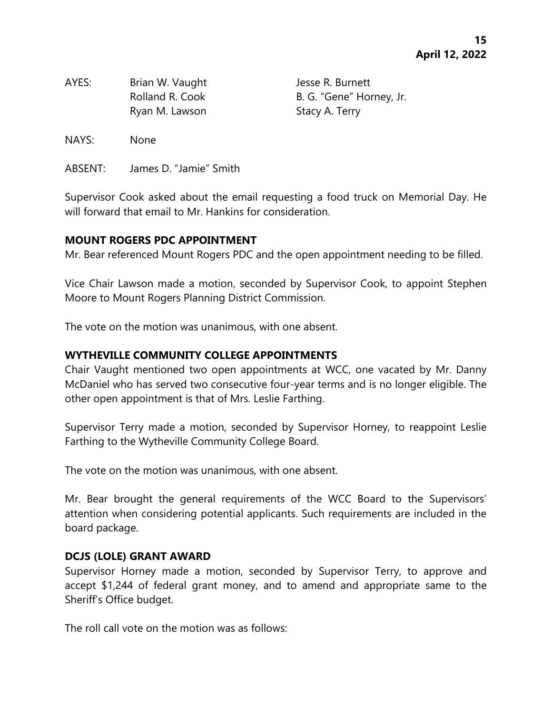| AYES: | Brian W. Vaught |
|-------|-----------------|
|       | Rolland R. Cook |
|       | Ryan M. Lawson  |

Jesse R. Burnett B. G. "Gene" Horney, Jr. Stacy A. Terry

NAYS: None

ABSENT: James D. "Jamie" Smith

Supervisor Cook asked about the email requesting a food truck on Memorial Day. He will forward that email to Mr. Hankins for consideration.

### **MOUNT ROGERS PDC APPOINTMENT**

Mr. Bear referenced Mount Rogers PDC and the open appointment needing to be filled.

Vice Chair Lawson made a motion, seconded by Supervisor Cook, to appoint Stephen Moore to Mount Rogers Planning District Commission.

The vote on the motion was unanimous, with one absent.

# **WYTHEVILLE COMMUNITY COLLEGE APPOINTMENTS**

Chair Vaught mentioned two open appointments at WCC, one vacated by Mr. Danny McDaniel who has served two consecutive four-year terms and is no longer eligible. The other open appointment is that of Mrs. Leslie Farthing.

Supervisor Terry made a motion, seconded by Supervisor Horney, to reappoint Leslie Farthing to the Wytheville Community College Board.

The vote on the motion was unanimous, with one absent.

Mr. Bear brought the general requirements of the WCC Board to the Supervisors' attention when considering potential applicants. Such requirements are included in the board package.

# **DCJS (LOLE) GRANT AWARD**

Supervisor Horney made a motion, seconded by Supervisor Terry, to approve and accept \$1,244 of federal grant money, and to amend and appropriate same to the Sheriff's Office budget.

The roll call vote on the motion was as follows: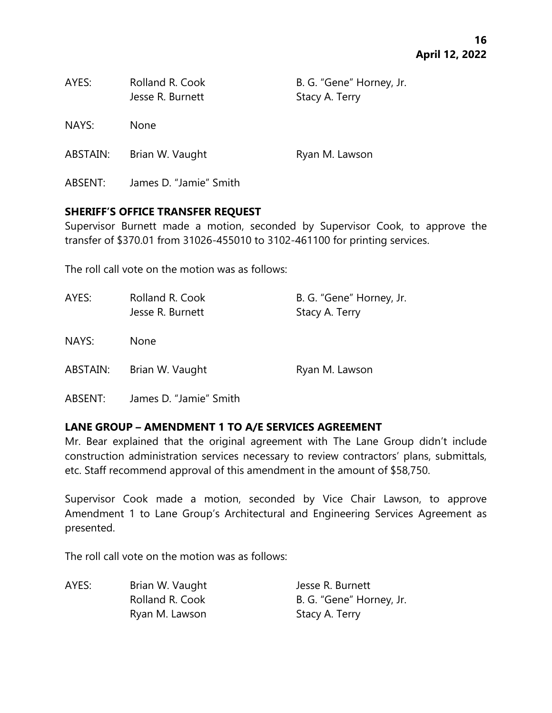| AYES:    | Rolland R. Cook<br>Jesse R. Burnett | B. G. "Gene" Horney, Jr.<br>Stacy A. Terry |
|----------|-------------------------------------|--------------------------------------------|
| NAYS:    | <b>None</b>                         |                                            |
| ABSTAIN: | Brian W. Vaught                     | Ryan M. Lawson                             |
| ABSENT:  | James D. "Jamie" Smith              |                                            |

### **SHERIFF'S OFFICE TRANSFER REQUEST**

Supervisor Burnett made a motion, seconded by Supervisor Cook, to approve the transfer of \$370.01 from 31026-455010 to 3102-461100 for printing services.

The roll call vote on the motion was as follows:

| AYES:    | Rolland R. Cook<br>Jesse R. Burnett | B. G. "Gene" Horney, Jr.<br>Stacy A. Terry |
|----------|-------------------------------------|--------------------------------------------|
| NAYS:    | <b>None</b>                         |                                            |
| ABSTAIN: | Brian W. Vaught                     | Ryan M. Lawson                             |

ABSENT: James D. "Jamie" Smith

# **LANE GROUP – AMENDMENT 1 TO A/E SERVICES AGREEMENT**

Mr. Bear explained that the original agreement with The Lane Group didn't include construction administration services necessary to review contractors' plans, submittals, etc. Staff recommend approval of this amendment in the amount of \$58,750.

Supervisor Cook made a motion, seconded by Vice Chair Lawson, to approve Amendment 1 to Lane Group's Architectural and Engineering Services Agreement as presented.

The roll call vote on the motion was as follows:

AYES: Brian W. Vaught Jesse R. Burnett Ryan M. Lawson Stacy A. Terry

Rolland R. Cook B. G. "Gene" Horney, Jr.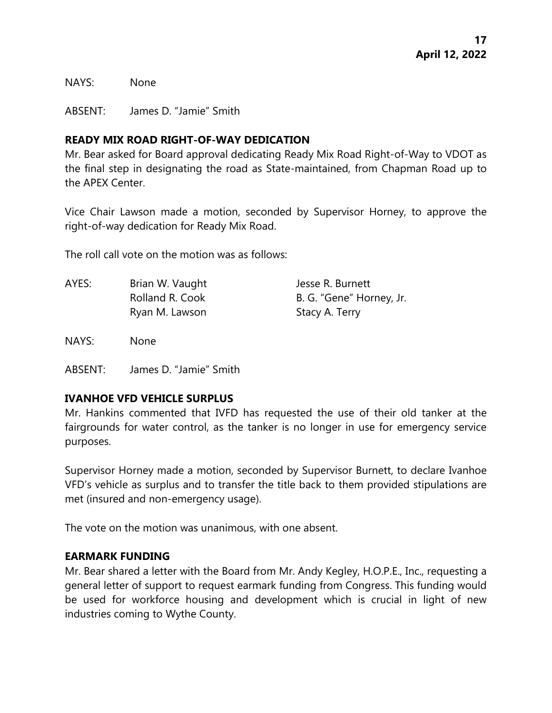NAYS: None

ABSENT: James D. "Jamie" Smith

### **READY MIX ROAD RIGHT-OF-WAY DEDICATION**

Mr. Bear asked for Board approval dedicating Ready Mix Road Right-of-Way to VDOT as the final step in designating the road as State-maintained, from Chapman Road up to the APEX Center.

Vice Chair Lawson made a motion, seconded by Supervisor Horney, to approve the right-of-way dedication for Ready Mix Road.

The roll call vote on the motion was as follows:

AYES: Brian W. Vaught Jesse R. Burnett Rolland R. Cook B. G. "Gene" Horney, Jr. Ryan M. Lawson Stacy A. Terry

NAYS: None

ABSENT: James D. "Jamie" Smith

### **IVANHOE VFD VEHICLE SURPLUS**

Mr. Hankins commented that IVFD has requested the use of their old tanker at the fairgrounds for water control, as the tanker is no longer in use for emergency service purposes.

Supervisor Horney made a motion, seconded by Supervisor Burnett, to declare Ivanhoe VFD's vehicle as surplus and to transfer the title back to them provided stipulations are met (insured and non-emergency usage).

The vote on the motion was unanimous, with one absent.

### **EARMARK FUNDING**

Mr. Bear shared a letter with the Board from Mr. Andy Kegley, H.O.P.E., Inc., requesting a general letter of support to request earmark funding from Congress. This funding would be used for workforce housing and development which is crucial in light of new industries coming to Wythe County.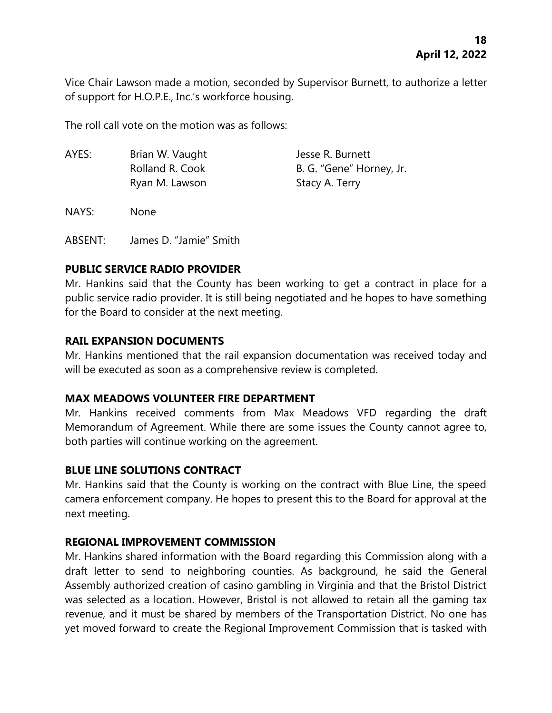Vice Chair Lawson made a motion, seconded by Supervisor Burnett, to authorize a letter of support for H.O.P.E., Inc.'s workforce housing.

The roll call vote on the motion was as follows:

| AYES: | Brian W. Vaught | Jesse R. Burnett         |
|-------|-----------------|--------------------------|
|       | Rolland R. Cook | B. G. "Gene" Horney, Jr. |
|       | Ryan M. Lawson  | Stacy A. Terry           |

NAYS: None

ABSENT: James D. "Jamie" Smith

# **PUBLIC SERVICE RADIO PROVIDER**

Mr. Hankins said that the County has been working to get a contract in place for a public service radio provider. It is still being negotiated and he hopes to have something for the Board to consider at the next meeting.

# **RAIL EXPANSION DOCUMENTS**

Mr. Hankins mentioned that the rail expansion documentation was received today and will be executed as soon as a comprehensive review is completed.

# **MAX MEADOWS VOLUNTEER FIRE DEPARTMENT**

Mr. Hankins received comments from Max Meadows VFD regarding the draft Memorandum of Agreement. While there are some issues the County cannot agree to, both parties will continue working on the agreement.

# **BLUE LINE SOLUTIONS CONTRACT**

Mr. Hankins said that the County is working on the contract with Blue Line, the speed camera enforcement company. He hopes to present this to the Board for approval at the next meeting.

# **REGIONAL IMPROVEMENT COMMISSION**

Mr. Hankins shared information with the Board regarding this Commission along with a draft letter to send to neighboring counties. As background, he said the General Assembly authorized creation of casino gambling in Virginia and that the Bristol District was selected as a location. However, Bristol is not allowed to retain all the gaming tax revenue, and it must be shared by members of the Transportation District. No one has yet moved forward to create the Regional Improvement Commission that is tasked with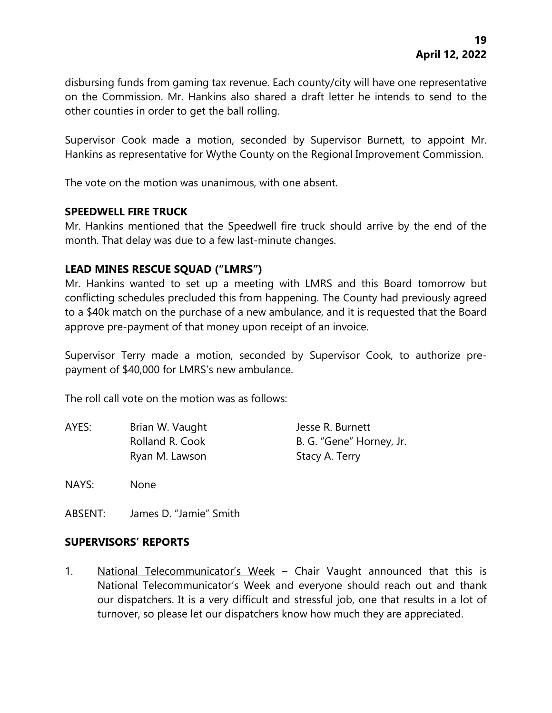disbursing funds from gaming tax revenue. Each county/city will have one representative on the Commission. Mr. Hankins also shared a draft letter he intends to send to the other counties in order to get the ball rolling.

Supervisor Cook made a motion, seconded by Supervisor Burnett, to appoint Mr. Hankins as representative for Wythe County on the Regional Improvement Commission.

The vote on the motion was unanimous, with one absent.

### **SPEEDWELL FIRE TRUCK**

Mr. Hankins mentioned that the Speedwell fire truck should arrive by the end of the month. That delay was due to a few last-minute changes.

# **LEAD MINES RESCUE SQUAD ("LMRS")**

Mr. Hankins wanted to set up a meeting with LMRS and this Board tomorrow but conflicting schedules precluded this from happening. The County had previously agreed to a \$40k match on the purchase of a new ambulance, and it is requested that the Board approve pre-payment of that money upon receipt of an invoice.

Supervisor Terry made a motion, seconded by Supervisor Cook, to authorize prepayment of \$40,000 for LMRS's new ambulance.

The roll call vote on the motion was as follows:

| AYES: | Brian W. Vaught | Jesse R. Burnett         |
|-------|-----------------|--------------------------|
|       | Rolland R. Cook | B. G. "Gene" Horney, Jr. |
|       | Ryan M. Lawson  | Stacy A. Terry           |

NAYS: None

ABSENT: James D. "Jamie" Smith

### **SUPERVISORS' REPORTS**

1. National Telecommunicator's Week – Chair Vaught announced that this is National Telecommunicator's Week and everyone should reach out and thank our dispatchers. It is a very difficult and stressful job, one that results in a lot of turnover, so please let our dispatchers know how much they are appreciated.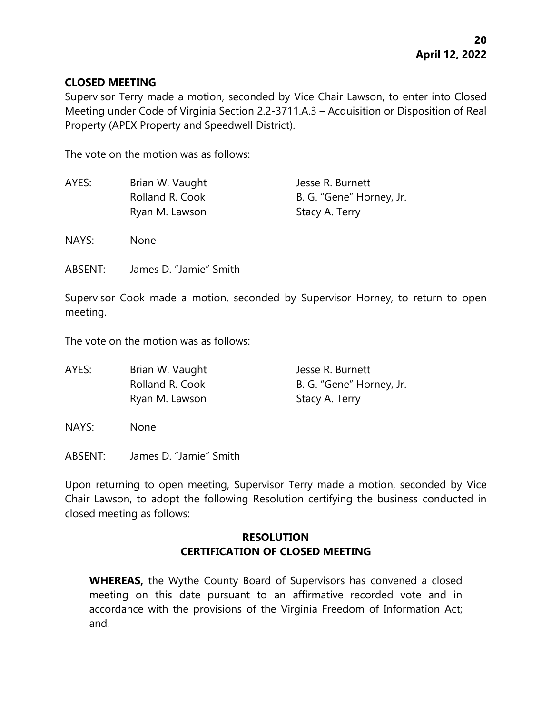### **CLOSED MEETING**

Supervisor Terry made a motion, seconded by Vice Chair Lawson, to enter into Closed Meeting under Code of Virginia Section 2.2-3711.A.3 – Acquisition or Disposition of Real Property (APEX Property and Speedwell District).

The vote on the motion was as follows:

| AYES: | Brian W. Vaught | Jesse R. Burnett         |
|-------|-----------------|--------------------------|
|       | Rolland R. Cook | B. G. "Gene" Horney, Jr. |
|       | Ryan M. Lawson  | Stacy A. Terry           |
| NAYS: | <b>None</b>     |                          |

ABSENT: James D. "Jamie" Smith

Supervisor Cook made a motion, seconded by Supervisor Horney, to return to open meeting.

The vote on the motion was as follows:

| AYES: | Brian W. Vaught | Jesse R. Burnett         |
|-------|-----------------|--------------------------|
|       | Rolland R. Cook | B. G. "Gene" Horney, Jr. |
|       | Ryan M. Lawson  | Stacy A. Terry           |

NAYS: None

ABSENT: James D. "Jamie" Smith

Upon returning to open meeting, Supervisor Terry made a motion, seconded by Vice Chair Lawson, to adopt the following Resolution certifying the business conducted in closed meeting as follows:

# **RESOLUTION CERTIFICATION OF CLOSED MEETING**

**WHEREAS,** the Wythe County Board of Supervisors has convened a closed meeting on this date pursuant to an affirmative recorded vote and in accordance with the provisions of the Virginia Freedom of Information Act; and,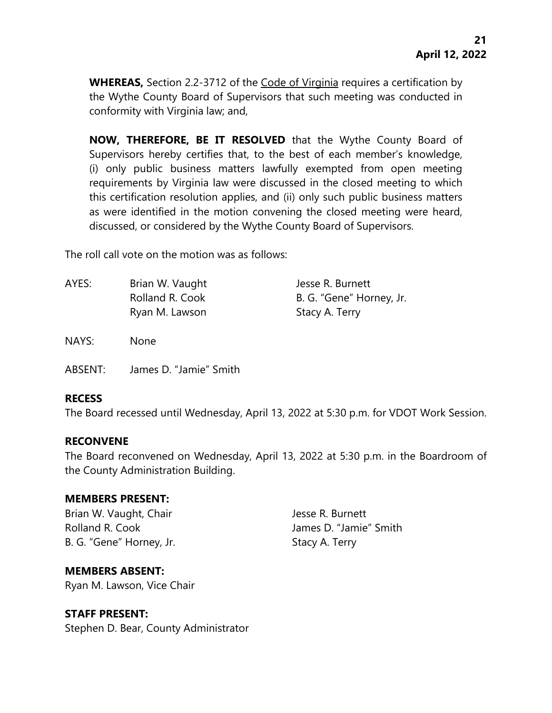**WHEREAS,** Section 2.2-3712 of the Code of Virginia requires a certification by the Wythe County Board of Supervisors that such meeting was conducted in conformity with Virginia law; and,

**NOW, THEREFORE, BE IT RESOLVED** that the Wythe County Board of Supervisors hereby certifies that, to the best of each member's knowledge, (i) only public business matters lawfully exempted from open meeting requirements by Virginia law were discussed in the closed meeting to which this certification resolution applies, and (ii) only such public business matters as were identified in the motion convening the closed meeting were heard, discussed, or considered by the Wythe County Board of Supervisors.

The roll call vote on the motion was as follows:

| AYES: | Brian W. Vaught | Jesse R. Burnett         |
|-------|-----------------|--------------------------|
|       | Rolland R. Cook | B. G. "Gene" Horney, Jr. |
|       | Ryan M. Lawson  | Stacy A. Terry           |

NAYS: None

ABSENT: James D. "Jamie" Smith

### **RECESS**

The Board recessed until Wednesday, April 13, 2022 at 5:30 p.m. for VDOT Work Session.

### **RECONVENE**

The Board reconvened on Wednesday, April 13, 2022 at 5:30 p.m. in the Boardroom of the County Administration Building.

### **MEMBERS PRESENT:**

Brian W. Vaught, Chair **Jesse R. Burnett** Rolland R. Cook James D. "Jamie" Smith B. G. "Gene" Horney, Jr. Stacy A. Terry

# **MEMBERS ABSENT:**

Ryan M. Lawson, Vice Chair

### **STAFF PRESENT:**

Stephen D. Bear, County Administrator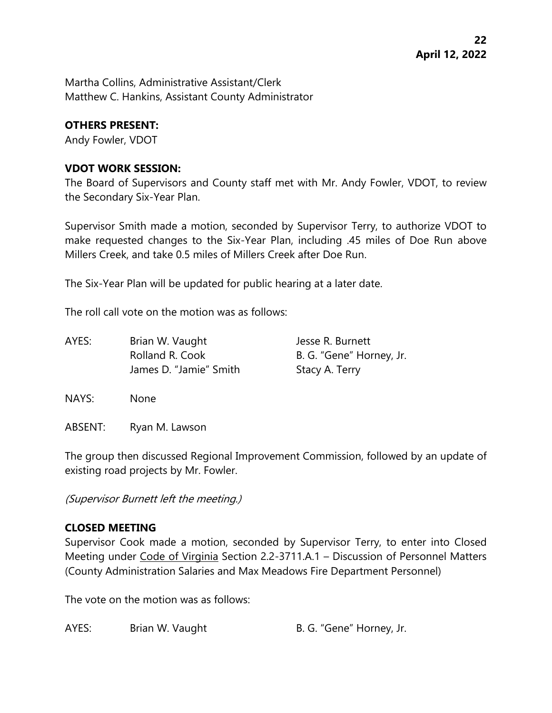Martha Collins, Administrative Assistant/Clerk Matthew C. Hankins, Assistant County Administrator

# **OTHERS PRESENT:**

Andy Fowler, VDOT

# **VDOT WORK SESSION:**

The Board of Supervisors and County staff met with Mr. Andy Fowler, VDOT, to review the Secondary Six-Year Plan.

Supervisor Smith made a motion, seconded by Supervisor Terry, to authorize VDOT to make requested changes to the Six-Year Plan, including .45 miles of Doe Run above Millers Creek, and take 0.5 miles of Millers Creek after Doe Run.

The Six-Year Plan will be updated for public hearing at a later date.

The roll call vote on the motion was as follows:

| Brian W. Vaught        | Jesse R. Burnett         |
|------------------------|--------------------------|
| Rolland R. Cook        | B. G. "Gene" Horney, Jr. |
| James D. "Jamie" Smith | Stacy A. Terry           |
|                        |                          |

NAYS: None

ABSENT: Ryan M. Lawson

The group then discussed Regional Improvement Commission, followed by an update of existing road projects by Mr. Fowler.

(Supervisor Burnett left the meeting.)

# **CLOSED MEETING**

Supervisor Cook made a motion, seconded by Supervisor Terry, to enter into Closed Meeting under Code of Virginia Section 2.2-3711.A.1 – Discussion of Personnel Matters (County Administration Salaries and Max Meadows Fire Department Personnel)

The vote on the motion was as follows:

AYES: Brian W. Vaught B. G. "Gene" Horney, Jr.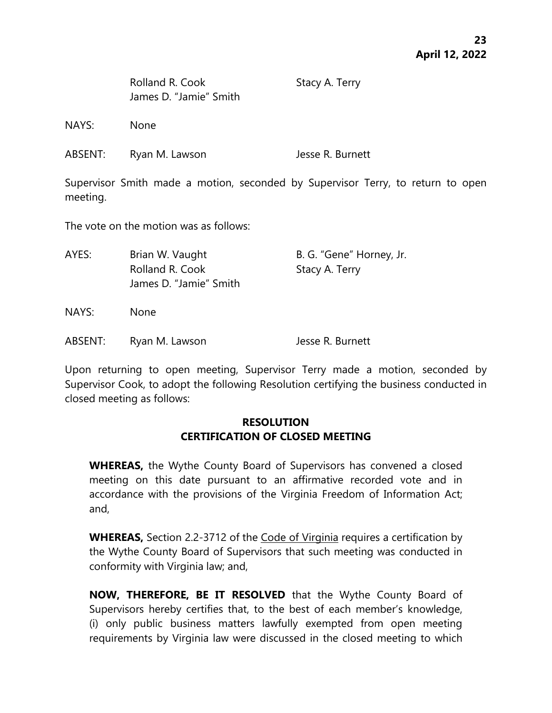| Rolland R. Cook        |
|------------------------|
| James D. "Jamie" Smith |

Stacy A. Terry

NAYS: None

| ABSENT: | Ryan M. Lawson | Jesse R. Burnett |
|---------|----------------|------------------|
|---------|----------------|------------------|

Supervisor Smith made a motion, seconded by Supervisor Terry, to return to open meeting.

The vote on the motion was as follows:

| AYES: | Brian W. Vaught<br>Rolland R. Cook<br>James D. "Jamie" Smith | B. G. "Gene" Horney, Jr.<br>Stacy A. Terry |
|-------|--------------------------------------------------------------|--------------------------------------------|
| NAYS: | <b>None</b>                                                  |                                            |

ABSENT: Ryan M. Lawson Jesse R. Burnett

Upon returning to open meeting, Supervisor Terry made a motion, seconded by Supervisor Cook, to adopt the following Resolution certifying the business conducted in closed meeting as follows:

# **RESOLUTION CERTIFICATION OF CLOSED MEETING**

**WHEREAS,** the Wythe County Board of Supervisors has convened a closed meeting on this date pursuant to an affirmative recorded vote and in accordance with the provisions of the Virginia Freedom of Information Act; and,

**WHEREAS,** Section 2.2-3712 of the Code of Virginia requires a certification by the Wythe County Board of Supervisors that such meeting was conducted in conformity with Virginia law; and,

**NOW, THEREFORE, BE IT RESOLVED** that the Wythe County Board of Supervisors hereby certifies that, to the best of each member's knowledge, (i) only public business matters lawfully exempted from open meeting requirements by Virginia law were discussed in the closed meeting to which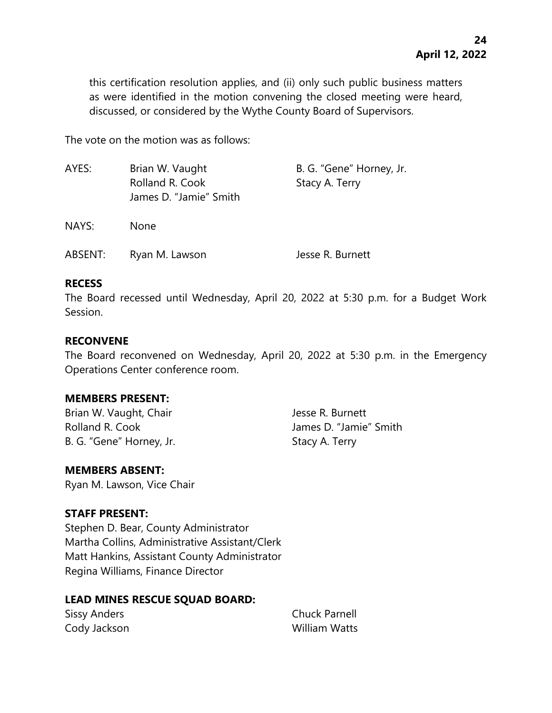this certification resolution applies, and (ii) only such public business matters as were identified in the motion convening the closed meeting were heard, discussed, or considered by the Wythe County Board of Supervisors.

The vote on the motion was as follows:

| AYES:   | Brian W. Vaught<br>Rolland R. Cook<br>James D. "Jamie" Smith | B. G. "Gene" Horney, Jr.<br>Stacy A. Terry |
|---------|--------------------------------------------------------------|--------------------------------------------|
| NAYS:   | None                                                         |                                            |
| ABSENT: | Ryan M. Lawson                                               | Jesse R. Burnett                           |

### **RECESS**

The Board recessed until Wednesday, April 20, 2022 at 5:30 p.m. for a Budget Work Session.

### **RECONVENE**

The Board reconvened on Wednesday, April 20, 2022 at 5:30 p.m. in the Emergency Operations Center conference room.

### **MEMBERS PRESENT:**

Brian W. Vaught, Chair **Jesse R. Burnett** Rolland R. Cook James D. "Jamie" Smith B. G. "Gene" Horney, Jr. Stacy A. Terry

# **MEMBERS ABSENT:**

Ryan M. Lawson, Vice Chair

# **STAFF PRESENT:**

Stephen D. Bear, County Administrator Martha Collins, Administrative Assistant/Clerk Matt Hankins, Assistant County Administrator Regina Williams, Finance Director

# **LEAD MINES RESCUE SQUAD BOARD:**

| <b>Sissy Anders</b> | <b>Chuck Parnell</b> |
|---------------------|----------------------|
| Cody Jackson        | William Watts        |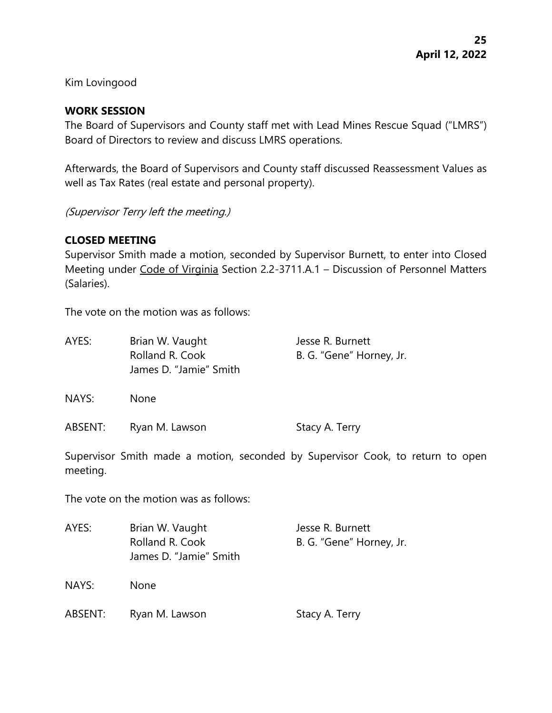Kim Lovingood

### **WORK SESSION**

The Board of Supervisors and County staff met with Lead Mines Rescue Squad ("LMRS") Board of Directors to review and discuss LMRS operations.

Afterwards, the Board of Supervisors and County staff discussed Reassessment Values as well as Tax Rates (real estate and personal property).

(Supervisor Terry left the meeting.)

### **CLOSED MEETING**

Supervisor Smith made a motion, seconded by Supervisor Burnett, to enter into Closed Meeting under Code of Virginia Section 2.2-3711.A.1 – Discussion of Personnel Matters (Salaries).

The vote on the motion was as follows:

| AYES:   | Brian W. Vaught<br>Rolland R. Cook<br>James D. "Jamie" Smith | Jesse R. Burnett<br>B. G. "Gene" Horney, Jr. |
|---------|--------------------------------------------------------------|----------------------------------------------|
| NAYS:   | <b>None</b>                                                  |                                              |
| ABSENT: | Ryan M. Lawson                                               | Stacy A. Terry                               |

Supervisor Smith made a motion, seconded by Supervisor Cook, to return to open meeting.

The vote on the motion was as follows:

| AYES:   | Brian W. Vaught<br>Rolland R. Cook<br>James D. "Jamie" Smith | Jesse R. Burnett<br>B. G. "Gene" Horney, Jr. |
|---------|--------------------------------------------------------------|----------------------------------------------|
| NAYS:   | <b>None</b>                                                  |                                              |
| ABSENT: | Ryan M. Lawson                                               | Stacy A. Terry                               |